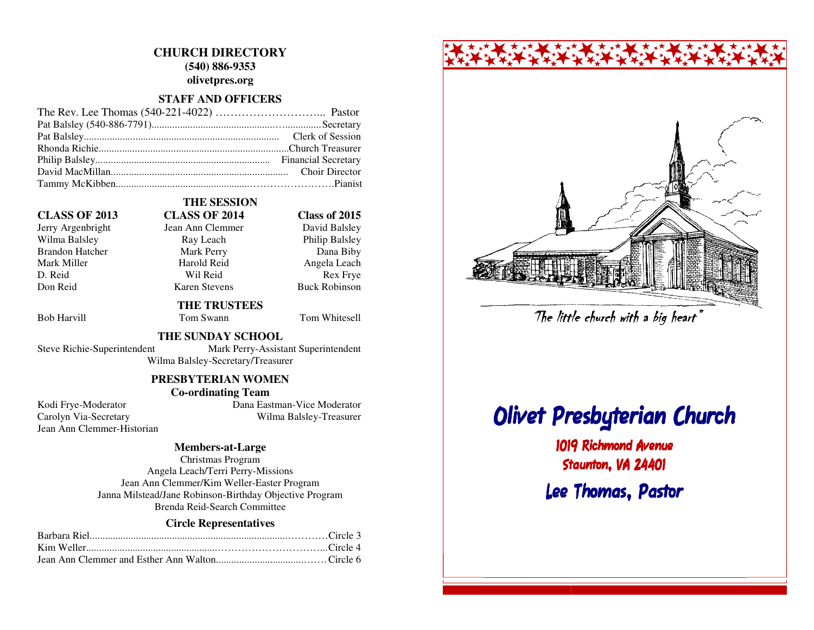# **CHURCH DIRECTORY (540) 886-9353 olivetpres.org**

#### **STAFF AND OFFICERS**

#### **CLASS OF 2013 CLASS OF 2014 Class of 2015**

Wilma Balsley Ray Leach Philip Balsley Brandon Hatcher Mark Perry D. Reid Wil Reid Rex Frye

# **THE SESSION**

# Jerry Argenbright Jean Ann Clemmer Mark Miller **Mark Angela Leach** Harold Reid **Angela Leach** Don Reid Karen Stevens Buck Robinson

# **THE TRUSTEES**

Bob Harvill **Tom Swann** Tom Whitesell

David Balsley

Dana Biby

#### **THE SUNDAY SCHOOL**

 Steve Richie-Superintendent Mark Perry-Assistant Superintendent Wilma Balsley-Secretary/Treasurer

### **PRESBYTERIAN WOMEN**

#### **Co-ordinating Team**

Jean Ann Clemmer-Historian

 Kodi Frye-Moderator Dana Eastman-Vice Moderator Carolyn Via-Secretary Wilma Balsley-Treasurer

#### **Members-at-Large**

Christmas Program Angela Leach/Terri Perry-Missions Jean Ann Clemmer/Kim Weller-Easter Program Janna Milstead/Jane Robinson-Birthday Objective Program Brenda Reid-Search Committee

#### **Circle Representatives**



# Olivet Presbyterian Church

1019 Richmond AvenueStaunton, VA 24401Lee Thomas, PastorThe little church with a big heart"<br>**The Presbyterian Chu:**<br>1019 Richmond Avenue<br>Staunton, VA 24401<br>Lee Thomas, Pastor